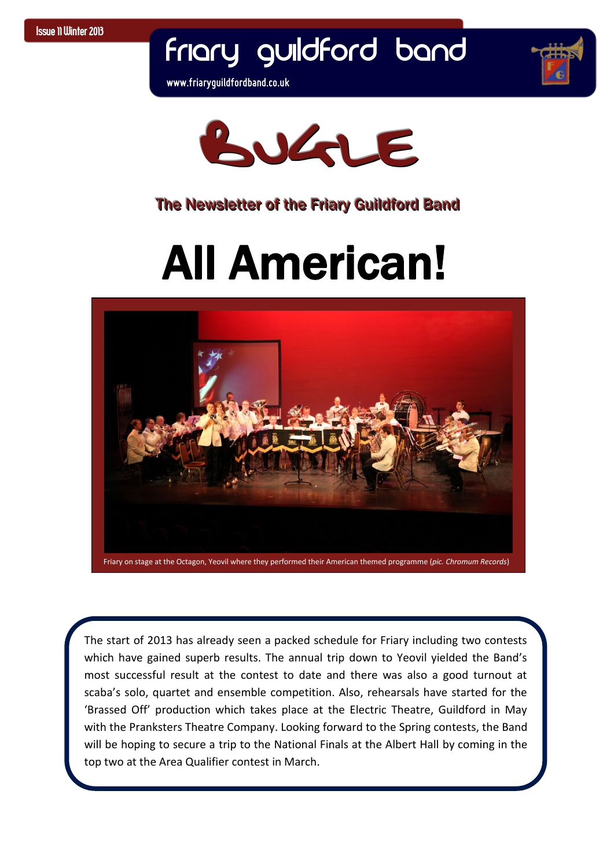# Friary Guildford Band

**www.friaryguildfordband.co.uk**





#### The Newsletter of the Friary Guildford Band

# All American!



 which have gained superb results. The annual trip down to Yeovil yielded the Band's  with the Pranksters Theatre Company. Looking forward to the Spring contests, the Band  top two at the Area Qualifier contest in March. The start of 2013 has already seen a packed schedule for Friary including two contests most successful result at the contest to date and there was also a good turnout at scaba's solo, quartet and ensemble competition. Also, rehearsals have started for the 'Brassed Off' production which takes place at the Electric Theatre, Guildford in May will be hoping to secure a trip to the National Finals at the Albert Hall by coming in the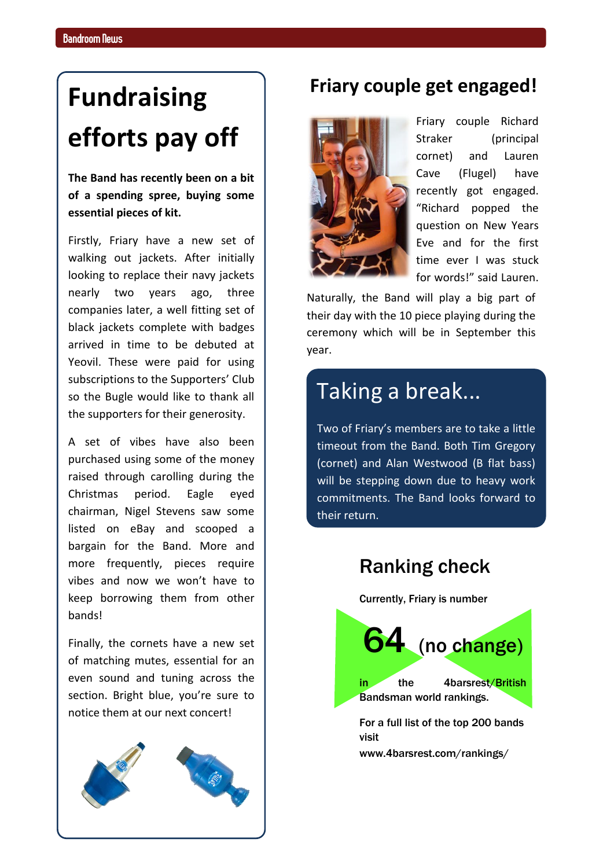### **Fundraising efforts pay off**

**The Band has recently been on a bit of a spending spree, buying some essential pieces of kit.**

Firstly, Friary have a new set of walking out jackets. After initially looking to replace their navy jackets nearly two years ago, three companies later, a well fitting set of black jackets complete with badges arrived in time to be debuted at Yeovil. These were paid for using subscriptions to the Supporters' Club so the Bugle would like to thank all the supporters for their generosity.

A set of vibes have also been purchased using some of the money raised through carolling during the Christmas period. Eagle eyed chairman, Nigel Stevens saw some listed on eBay and scooped a bargain for the Band. More and more frequently, pieces require vibes and now we won't have to keep borrowing them from other bands!

Finally, the cornets have a new set of matching mutes, essential for an even sound and tuning across the section. Bright blue, you're sure to notice them at our next concert!



#### **Friary couple get engaged!**



Friary couple Richard Straker (principal cornet) and Lauren Cave (Flugel) have recently got engaged. "Richard popped the question on New Years Eve and for the first time ever I was stuck for words!" said Lauren.

Naturally, the Band will play a big part of their day with the 10 piece playing during the ceremony which will be in September this year.

#### Taking a break...

Two of Friary's members are to take a little timeout from the Band. Both Tim Gregory (cornet) and Alan Westwood (B flat bass) will be stepping down due to heavy work commitments. The Band looks forward to their return.



www.4barsrest.com/rankings/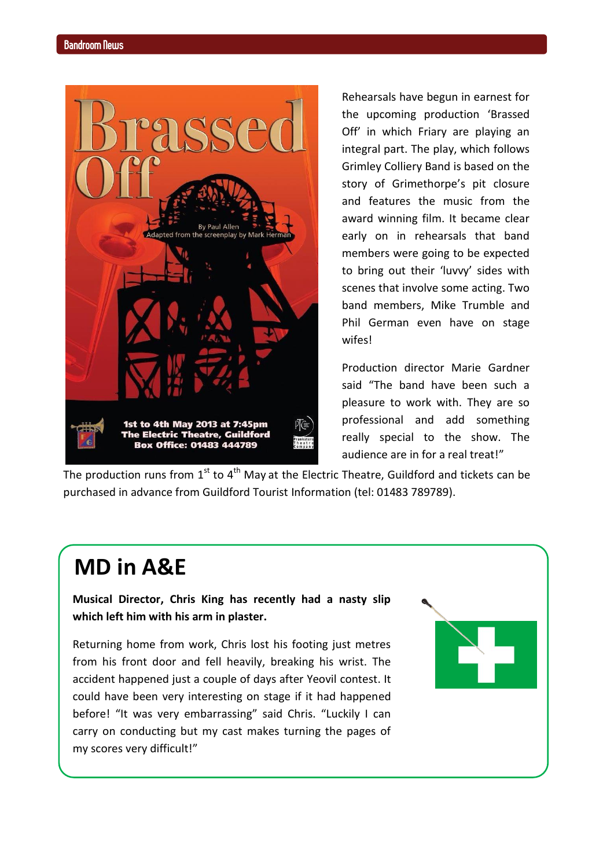

Rehearsals have begun in earnest for the upcoming production 'Brassed Off' in which Friary are playing an integral part. The play, which follows Grimley Colliery Band is based on the story of Grimethorpe's pit closure and features the music from the award winning film. It became clear early on in rehearsals that band members were going to be expected to bring out their 'luvvy' sides with scenes that involve some acting. Two band members, Mike Trumble and Phil German even have on stage wifes!

Production director Marie Gardner said "The band have been such a pleasure to work with. They are so professional and add something really special to the show. The audience are in for a real treat!"

The production runs from  $1<sup>st</sup>$  to  $4<sup>th</sup>$  May at the Electric Theatre, Guildford and tickets can be purchased in advance from Guildford Tourist Information (tel: 01483 789789).

#### **MD in A&E**

**Musical Director, Chris King has recently had a nasty slip which left him with his arm in plaster.**

Returning home from work, Chris lost his footing just metres from his front door and fell heavily, breaking his wrist. The accident happened just a couple of days after Yeovil contest. It could have been very interesting on stage if it had happened before! "It was very embarrassing" said Chris. "Luckily I can carry on conducting but my cast makes turning the pages of my scores very difficult!"

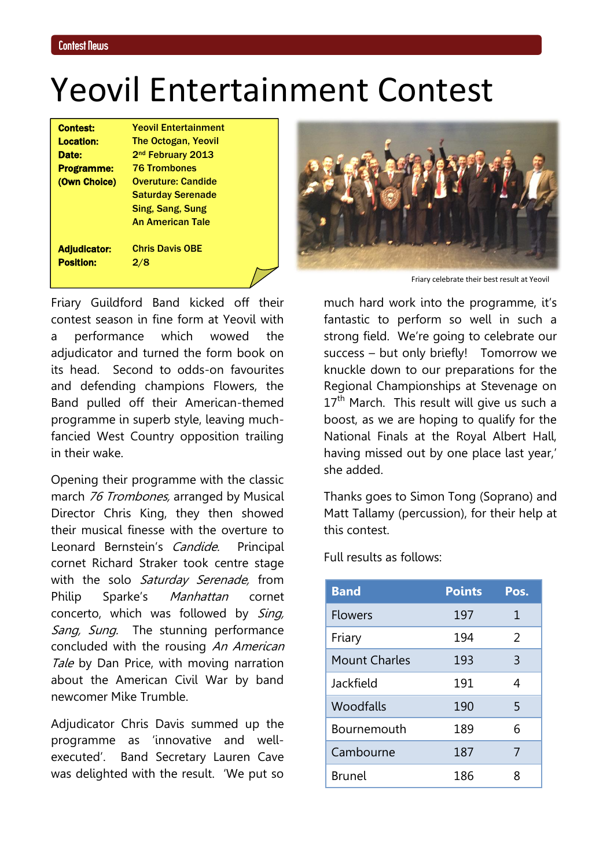### Yeovil Entertainment Contest

| <b>Contest:</b>     | <b>Yeovil Entertainment</b>   |
|---------------------|-------------------------------|
| <b>Location:</b>    | <b>The Octogan, Yeovil</b>    |
| Date:               | 2 <sup>nd</sup> February 2013 |
| <b>Programme:</b>   | <b>76 Trombones</b>           |
| (Own Choice)        | <b>Overuture: Candide</b>     |
|                     | <b>Saturday Serenade</b>      |
|                     | Sing, Sang, Sung              |
|                     | An American Tale              |
| <b>Adjudicator:</b> | <b>Chris Davis OBE</b>        |
| <b>Position:</b>    | 2/8                           |
|                     |                               |

Friary Guildford Band kicked off their contest season in fine form at Yeovil with a performance which wowed the adjudicator and turned the form book on its head. Second to odds-on favourites and defending champions Flowers, the Band pulled off their American-themed programme in superb style, leaving muchfancied West Country opposition trailing in their wake.

Opening their programme with the classic march 76 Trombones, arranged by Musical Director Chris King, they then showed their musical finesse with the overture to Leonard Bernstein's Candide. Principal cornet Richard Straker took centre stage with the solo Saturday Serenade, from Philip Sparke's Manhattan cornet concerto, which was followed by Sing, Sang, Sung. The stunning performance concluded with the rousing An American Tale by Dan Price, with moving narration about the American Civil War by band newcomer Mike Trumble.

Adjudicator Chris Davis summed up the programme as 'innovative and wellexecuted'. Band Secretary Lauren Cave was delighted with the result. 'We put so



Friary celebrate their best result at Yeovil

much hard work into the programme, it's fantastic to perform so well in such a strong field. We're going to celebrate our success – but only briefly! Tomorrow we knuckle down to our preparations for the Regional Championships at Stevenage on  $17<sup>th</sup>$  March. This result will give us such a boost, as we are hoping to qualify for the National Finals at the Royal Albert Hall, having missed out by one place last year,' she added.

Thanks goes to Simon Tong (Soprano) and Matt Tallamy (percussion), for their help at this contest.

Full results as follows:

| <b>Band</b>          | <b>Points</b> | Pos. |
|----------------------|---------------|------|
| <b>Flowers</b>       | 197           | 1    |
| Friary               | 194           | 2    |
| <b>Mount Charles</b> | 193           | 3    |
| Jackfield            | 191           | 4    |
| Woodfalls            | 190           | 5    |
| Bournemouth          | 189           | 6    |
| Cambourne            | 187           | 7    |
| <b>Brunel</b>        | 186           | ጸ    |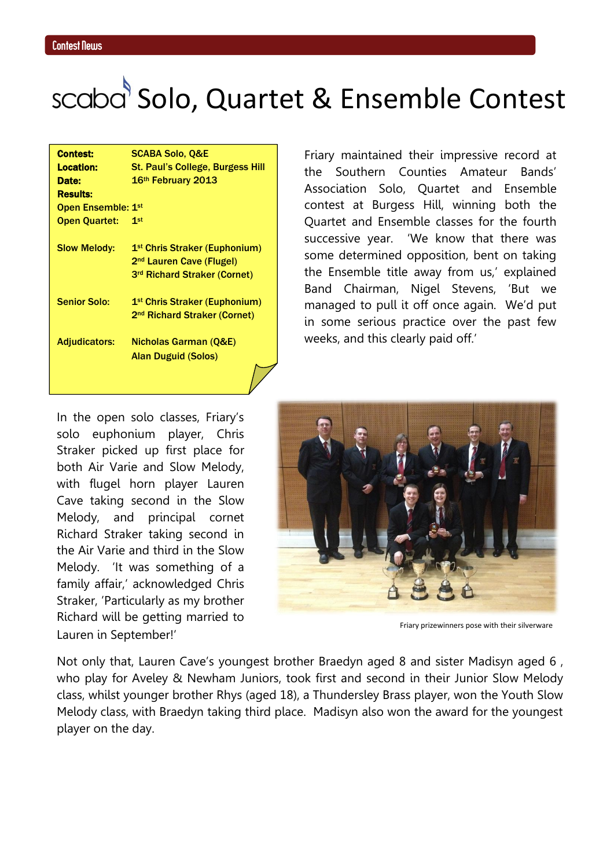## scaba<sup>5</sup> Solo, Quartet & Ensemble Contest

| <b>Contest:</b>           | <b>SCABA Solo, Q&amp;E</b>                |
|---------------------------|-------------------------------------------|
| <b>Location:</b>          | St. Paul's College, Burgess Hill          |
| Date:                     | 16 <sup>th</sup> February 2013            |
| <b>Results:</b>           |                                           |
| <b>Open Ensemble: 1st</b> |                                           |
| <b>Open Quartet:</b>      | 1st                                       |
|                           |                                           |
| <b>Slow Melody:</b>       | 1 <sup>st</sup> Chris Straker (Euphonium) |
|                           | 2 <sup>nd</sup> Lauren Cave (Flugel)      |
|                           | 3 <sup>rd</sup> Richard Straker (Cornet)  |
| <b>Senior Solo:</b>       | 1 <sup>st</sup> Chris Straker (Euphonium) |
|                           | 2 <sup>nd</sup> Richard Straker (Cornet)  |
| <b>Adjudicators:</b>      | Nicholas Garman (Q&E)                     |
|                           | Alan Duguid (Solos)                       |
|                           |                                           |

Friary maintained their impressive record at the Southern Counties Amateur Bands' Association Solo, Quartet and Ensemble contest at Burgess Hill, winning both the Quartet and Ensemble classes for the fourth successive year. 'We know that there was some determined opposition, bent on taking the Ensemble title away from us,' explained Band Chairman, Nigel Stevens, 'But we managed to pull it off once again. We'd put in some serious practice over the past few weeks, and this clearly paid off.'

In the open solo classes, Friary's solo euphonium player, Chris Straker picked up first place for both Air Varie and Slow Melody, with flugel horn player Lauren Cave taking second in the Slow Melody, and principal cornet Richard Straker taking second in the Air Varie and third in the Slow Melody. 'It was something of a family affair,' acknowledged Chris Straker, 'Particularly as my brother Richard will be getting married to Lauren in September!'



Friary prizewinners pose with their silverware

Not only that, Lauren Cave's youngest brother Braedyn aged 8 and sister Madisyn aged 6 , who play for Aveley & Newham Juniors, took first and second in their Junior Slow Melody class, whilst younger brother Rhys (aged 18), a Thundersley Brass player, won the Youth Slow Melody class, with Braedyn taking third place. Madisyn also won the award for the youngest player on the day.